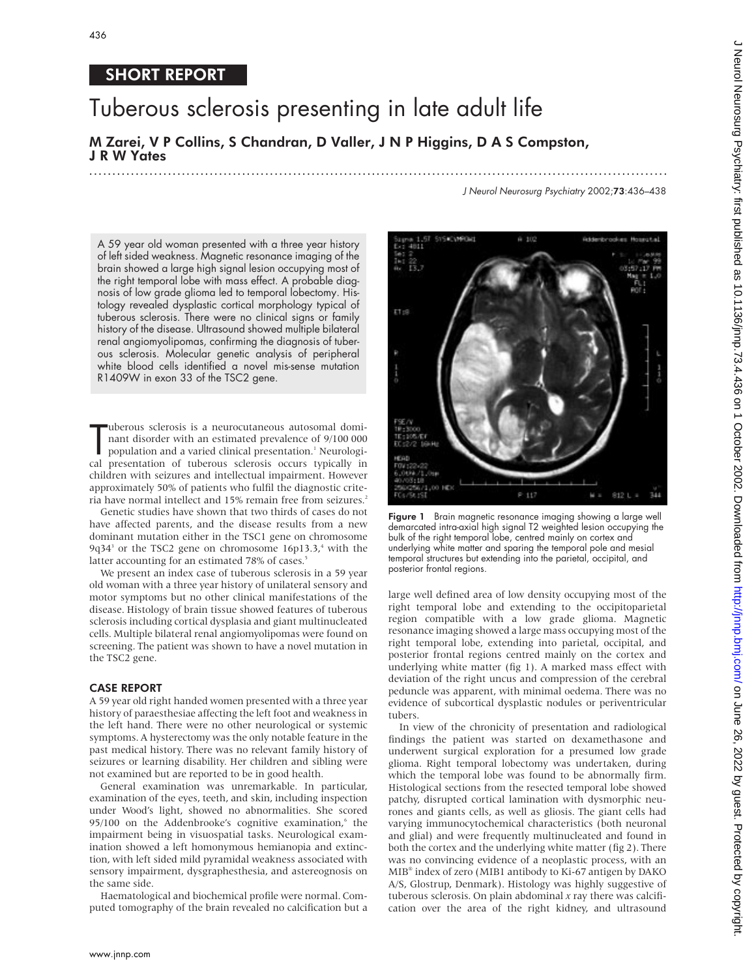# SHORT REPORT

# Tuberous sclerosis presenting in late adult life

## M Zarei, V P Collins, S Chandran, D Valler, J N P Higgins, D A S Compston, J R W Yates

.............................................................................................................................

J Neurol Neurosurg Psychiatry 2002;73:436–438

A 59 year old woman presented with a three year history of left sided weakness. Magnetic resonance imaging of the brain showed a large high signal lesion occupying most of the right temporal lobe with mass effect. A probable diagnosis of low grade glioma led to temporal lobectomy. Histology revealed dysplastic cortical morphology typical of tuberous sclerosis. There were no clinical signs or family history of the disease. Ultrasound showed multiple bilateral renal angiomyolipomas, confirming the diagnosis of tuberous sclerosis. Molecular genetic analysis of peripheral white blood cells identified a novel mis-sense mutation R1409W in exon 33 of the TSC2 gene.

uberous sclerosis is a neurocutaneous autosomal dominant disorder with an estimated prevalence of 9/100 000 population and a varied clinical presentation.<sup>1</sup> Neurological presentation of tuberous sclerosis occurs typically uberous sclerosis is a neurocutaneous autosomal dominant disorder with an estimated prevalence of 9/100 000 population and a varied clinical presentation.<sup>1</sup> Neurologichildren with seizures and intellectual impairment. However approximately 50% of patients who fulfil the diagnostic criteria have normal intellect and 15% remain free from seizures.<sup>2</sup>

Genetic studies have shown that two thirds of cases do not have affected parents, and the disease results from a new dominant mutation either in the TSC1 gene on chromosome 9q34<sup>3</sup> or the TSC2 gene on chromosome  $16p13.3$ ,<sup>4</sup> with the latter accounting for an estimated 78% of cases.<sup>5</sup>

We present an index case of tuberous sclerosis in a 59 year old woman with a three year history of unilateral sensory and motor symptoms but no other clinical manifestations of the disease. Histology of brain tissue showed features of tuberous sclerosis including cortical dysplasia and giant multinucleated cells. Multiple bilateral renal angiomyolipomas were found on screening. The patient was shown to have a novel mutation in the TSC2 gene.

#### CASE REPORT

A 59 year old right handed women presented with a three year history of paraesthesiae affecting the left foot and weakness in the left hand. There were no other neurological or systemic symptoms. A hysterectomy was the only notable feature in the past medical history. There was no relevant family history of seizures or learning disability. Her children and sibling were not examined but are reported to be in good health.

General examination was unremarkable. In particular, examination of the eyes, teeth, and skin, including inspection under Wood's light, showed no abnormalities. She scored 95/100 on the Addenbrooke's cognitive examination, $6$  the impairment being in visuospatial tasks. Neurological examination showed a left homonymous hemianopia and extinction, with left sided mild pyramidal weakness associated with sensory impairment, dysgraphesthesia, and astereognosis on the same side.

Haematological and biochemical profile were normal. Computed tomography of the brain revealed no calcification but a

 $P$  117  $812$  L = Figure 1 Brain magnetic resonance imaging showing a large well demarcated intra-axial high signal T2 weighted lesion occupying the bulk of the right temporal lobe, centred mainly on cortex and underlying white matter and sparing the temporal pole and mesial temporal structures but extending into the parietal, occipital, and

large well defined area of low density occupying most of the right temporal lobe and extending to the occipitoparietal region compatible with a low grade glioma. Magnetic resonance imaging showed a large mass occupying most of the right temporal lobe, extending into parietal, occipital, and posterior frontal regions centred mainly on the cortex and underlying white matter (fig 1). A marked mass effect with deviation of the right uncus and compression of the cerebral peduncle was apparent, with minimal oedema. There was no evidence of subcortical dysplastic nodules or periventricular tubers.

posterior frontal regions.

In view of the chronicity of presentation and radiological findings the patient was started on dexamethasone and underwent surgical exploration for a presumed low grade glioma. Right temporal lobectomy was undertaken, during which the temporal lobe was found to be abnormally firm. Histological sections from the resected temporal lobe showed patchy, disrupted cortical lamination with dysmorphic neurones and giants cells, as well as gliosis. The giant cells had varying immunocytochemical characteristics (both neuronal and glial) and were frequently multinucleated and found in both the cortex and the underlying white matter (fig 2). There was no convincing evidence of a neoplastic process, with an MIB® index of zero (MIB1 antibody to Ki-67 antigen by DAKO A/S, Glostrup, Denmark). Histology was highly suggestive of tuberous sclerosis. On plain abdominal *x* ray there was calcification over the area of the right kidney, and ultrasound

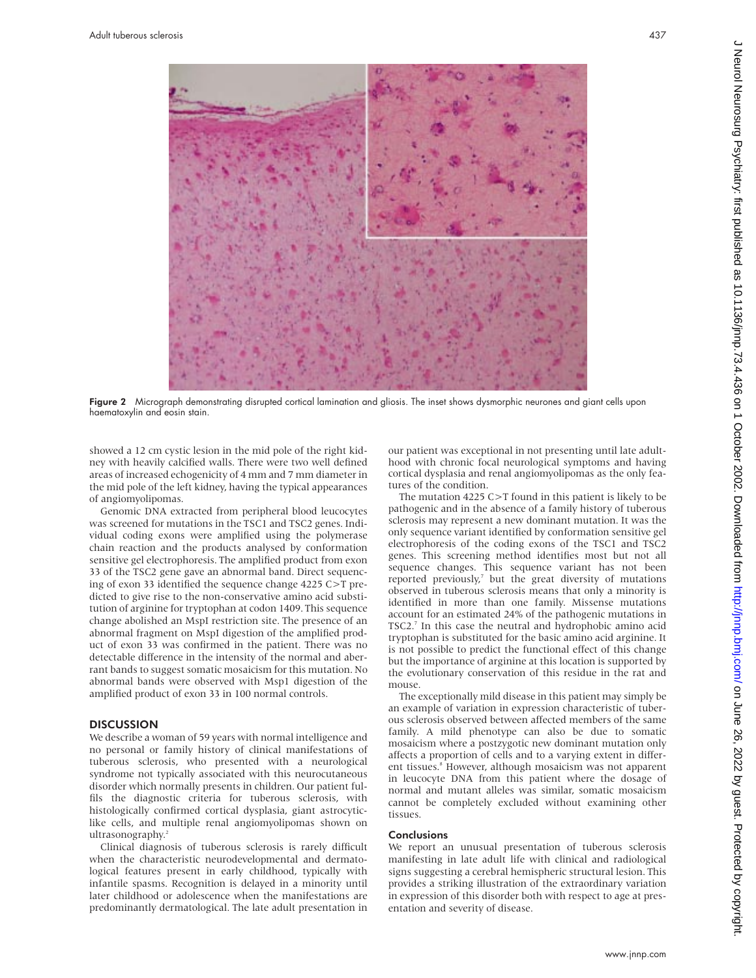

Figure 2 Micrograph demonstrating disrupted cortical lamination and gliosis. The inset shows dysmorphic neurones and giant cells upon haematoxylin and eosin stain.

showed a 12 cm cystic lesion in the mid pole of the right kidney with heavily calcified walls. There were two well defined areas of increased echogenicity of 4 mm and 7 mm diameter in the mid pole of the left kidney, having the typical appearances of angiomyolipomas.

Genomic DNA extracted from peripheral blood leucocytes was screened for mutations in the TSC1 and TSC2 genes. Individual coding exons were amplified using the polymerase chain reaction and the products analysed by conformation sensitive gel electrophoresis. The amplified product from exon 33 of the TSC2 gene gave an abnormal band. Direct sequencing of exon 33 identified the sequence change 4225 C>T predicted to give rise to the non-conservative amino acid substitution of arginine for tryptophan at codon 1409. This sequence change abolished an MspI restriction site. The presence of an abnormal fragment on MspI digestion of the amplified product of exon 33 was confirmed in the patient. There was no detectable difference in the intensity of the normal and aberrant bands to suggest somatic mosaicism for this mutation. No abnormal bands were observed with Msp1 digestion of the amplified product of exon 33 in 100 normal controls.

#### **DISCUSSION**

We describe a woman of 59 years with normal intelligence and no personal or family history of clinical manifestations of tuberous sclerosis, who presented with a neurological syndrome not typically associated with this neurocutaneous disorder which normally presents in children. Our patient fulfils the diagnostic criteria for tuberous sclerosis, with histologically confirmed cortical dysplasia, giant astrocyticlike cells, and multiple renal angiomyolipomas shown on ultrasonography.<sup>2</sup>

Clinical diagnosis of tuberous sclerosis is rarely difficult when the characteristic neurodevelopmental and dermatological features present in early childhood, typically with infantile spasms. Recognition is delayed in a minority until later childhood or adolescence when the manifestations are predominantly dermatological. The late adult presentation in

our patient was exceptional in not presenting until late adulthood with chronic focal neurological symptoms and having cortical dysplasia and renal angiomyolipomas as the only features of the condition.

The mutation 4225 C>T found in this patient is likely to be pathogenic and in the absence of a family history of tuberous sclerosis may represent a new dominant mutation. It was the only sequence variant identified by conformation sensitive gel electrophoresis of the coding exons of the TSC1 and TSC2 genes. This screening method identifies most but not all sequence changes. This sequence variant has not been reported previously, $7$  but the great diversity of mutations observed in tuberous sclerosis means that only a minority is identified in more than one family. Missense mutations account for an estimated 24% of the pathogenic mutations in TSC2.<sup>7</sup> In this case the neutral and hydrophobic amino acid tryptophan is substituted for the basic amino acid arginine. It is not possible to predict the functional effect of this change but the importance of arginine at this location is supported by the evolutionary conservation of this residue in the rat and mouse.

The exceptionally mild disease in this patient may simply be an example of variation in expression characteristic of tuberous sclerosis observed between affected members of the same family. A mild phenotype can also be due to somatic mosaicism where a postzygotic new dominant mutation only affects a proportion of cells and to a varying extent in different tissues.<sup>8</sup> However, although mosaicism was not apparent in leucocyte DNA from this patient where the dosage of normal and mutant alleles was similar, somatic mosaicism cannot be completely excluded without examining other tissues.

#### **Conclusions**

We report an unusual presentation of tuberous sclerosis manifesting in late adult life with clinical and radiological signs suggesting a cerebral hemispheric structural lesion. This provides a striking illustration of the extraordinary variation in expression of this disorder both with respect to age at presentation and severity of disease.